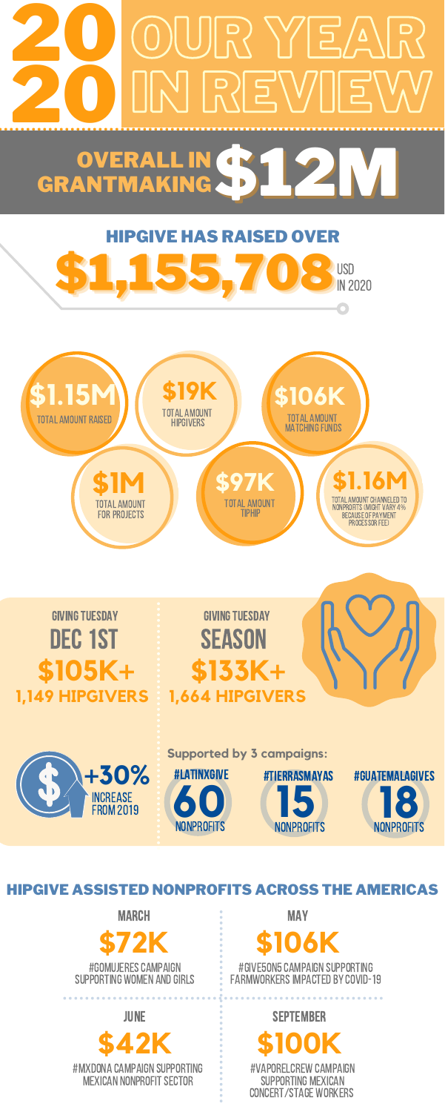**Supported by 3 campaigns:**



#give5on5campaign supporting FARMWORKERS IMPACTED BY COVID-19

### **\$105K+ 1,149 HIPGIVERS**





**15 NONPROFITS** #TIERRASMAYAS



**\$133K+ 1,664 HIPGIVERS**

HIPGIVE ASSISTED NONPROFITS ACROSS THE AMERICAS

#GOMUJERES CAMPAIGN SUPPORTING WOMEN AND GIRLS **\$72K MARCH** 

**MAY** 

## **\$106K**



june

#vaporelcrew campaign supporting mexican concert/stage workers

**\$100K**

september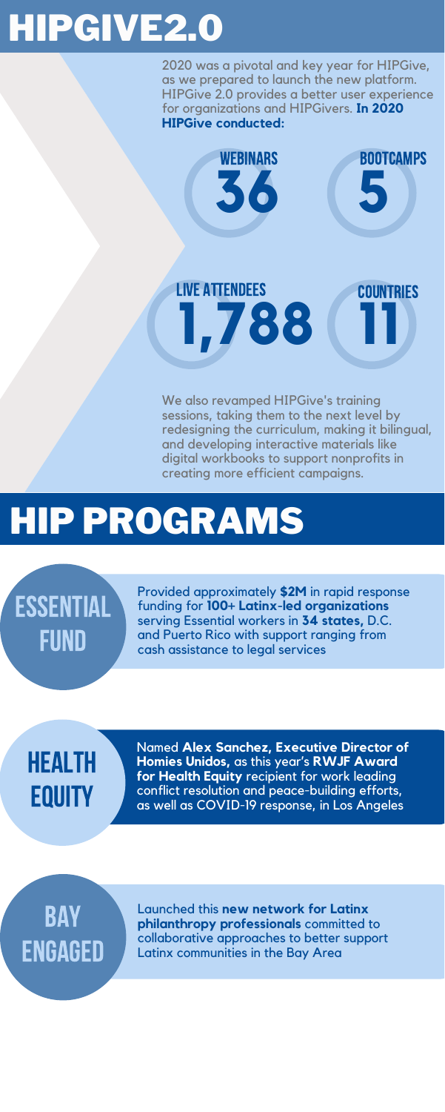We also revamped HIPGive's training sessions, taking them to the next level by redesigning the curriculum, making it bilingual, and developing interactive materials like digital workbooks to support nonprofits in creating more efficient campaigns.

2020 was a pivotal and key year for HIPGive, as we prepared to launch the new platform. HIPGive 2.0 provides a better user experience for organizations and HIPGivers. **In 2020 HIPGive conducted:**



## HEALTH **EQUITY**

## HIPGIVE2.0

Provided approximately **\$2M** in rapid response funding for **100+ Latinx-led organizations** serving Essential workers in **34 states,** D.C. and Puerto Rico with support ranging from cash assistance to legal services

## HIP PROGRAMS

ESSENTIAL FUND

> Named **Alex Sanchez, Executive Director of Homies Unidos,** as this year's **RWJF Award for Health Equity** recipient for work leading conflict resolution and peace-building efforts, as well as COVID-19 response, in Los Angeles

Launched this **new network for Latinx philanthropy professionals** committed to collaborative approaches to better support Latinx communities in the Bay Area

### BAY ENGAGED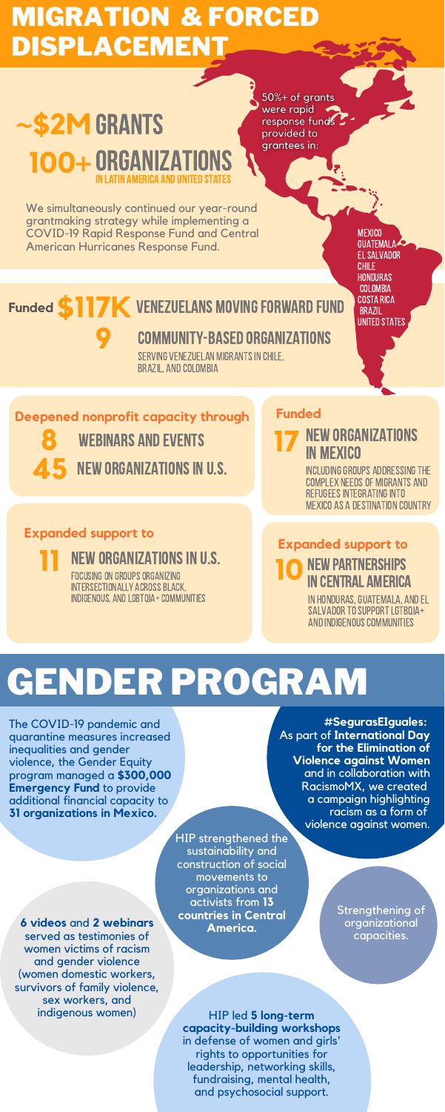We simultaneously continued our year-round grantmaking strategy while implementing a COVID-19 Rapid Response Fund and Central American Hurricanes Response Fund.

**MEXICO** GUATEMALA **EL SALVADOR** CHILE **HONDURAS COLOMBIA** Costa Rica **BRAZIL UNITED STATES** 

### **Funded S117K VENEZUELANS MOVING FORWARD FUND**

### MIGRATION & FORCED DISPLACEMENT

### ~\$2M GRANTS in latin america and united states **100+** organizations

50%+ of grants were rapid response funds provided to grantees in:

> INCLUDING GROUPS ADDRESSING THE complex needsof migrants and REFUGEES INTEGRATING INTO Mexico as a destination country

#### **NEW PARTNERSHIPS** in central america

IN HONDURAS, GUATEMALA, AND EL SALVADOR TO SUPPORT LGTBOIA+ AND INDIGENOUS COMMUNITIES

serving Venezuelan migrantsin Chile, BRAZIL, AND COLOMBIA

**8** webinars and events **NEW ORGANIZATIONS IN U.S.**  **17** new organizations in mexico

#### **Expanded support to**

FOCUSING ON GROUPS ORGANIZING **11 NEW ORGANIZATIONS IN U.S.** 

INTERSECTIONALLY ACROSS BLACK. INDIGENOUS, AND LGBTQIA+ COMMUNITIES

#### **Funded**

#### **Expanded support to**

**9** community-based organizations

#### **Deepened nonprofit capacity through**

## GENDER PROGRAM

The COVID-19 pandemic and quarantine measures increased inequalities and gender violence, the Gender Equity program managed a **\$300,000 Emergency Fund** to provide additional financial capacity to **31 organizations in Mexico.**

**#SegurasEIguales:** As part of **International Day for the Elimination of Violence against Women** and in collaboration with RacismoMX, we created a campaign highlighting racism as a form of violence against women.

**6 videos** and **2 webinars** served as testimonies of women victims of racism and gender violence (women domestic workers, survivors of family violence, sex workers, and indigenous women)

Strengthening of organizational capacities.

HIP led **5 long-term capacity-building workshops** in defense of women and girls' rights to opportunities for leadership, networking skills, fundraising, mental health, and psychosocial support.

HIP strengthened the sustainability and construction of social movements to organizations and activists from **13 countries in Central America.**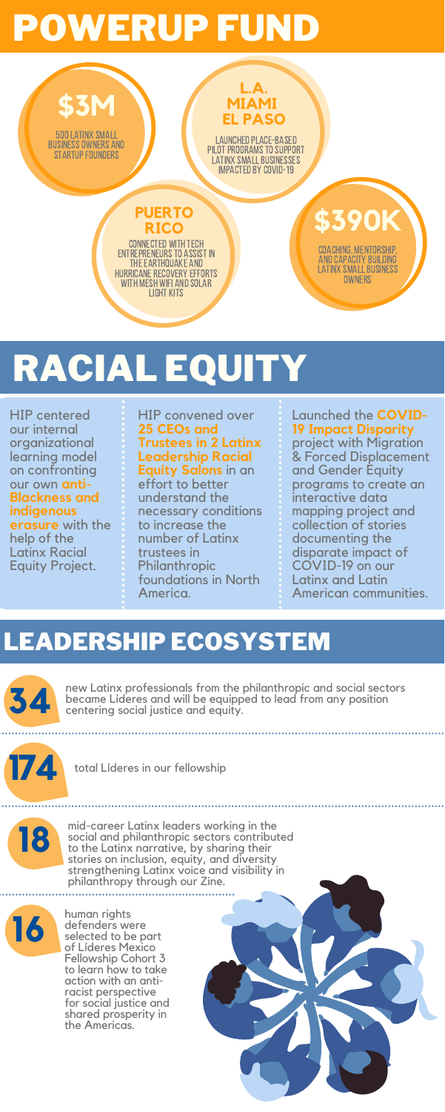

HIP convened over **25 CEOs and Trustees in 2 Latinx Leadership Racial Equity Salons** in an effort to better understand the necessary conditions to increase the number of Latinx trustees in Philanthropic foundations in North America.

Launched the **COVID-19 Impact Disparity** project with Migration & Forced Displacement and Gender Equity programs to create an interactive data mapping project and collection of stories documenting the disparate impact of COVID-19 on our Latinx and Latin American communities.

HIP centered our internal organizational learning model on confronting our own **anti-Blackness and indigenous erasure** with the help of the Latinx Racial Equity Project.

## POWERUP FUND

## RACIAL EQUITY



mid-career Latinx leaders working in the social and philanthropic sectors contributed to the Latinx narrative, by sharing their stories on inclusion, equity, and diversity strengthening Latinx voice and visibility in philanthropy through our Zine.

human rights defenders were selected to be part of Líderes Mexico Fellowship Cohort 3 to learn how to take action with an antiracist perspective for social justice and shared prosperity in the Americas.

### LEADERSHIP ECOSYSTEM



new Latinx professionals from the philanthropic and social sectors became Líderes and will be equipped to lead from any position centering social justice and equity.





total Líderes in our fellowship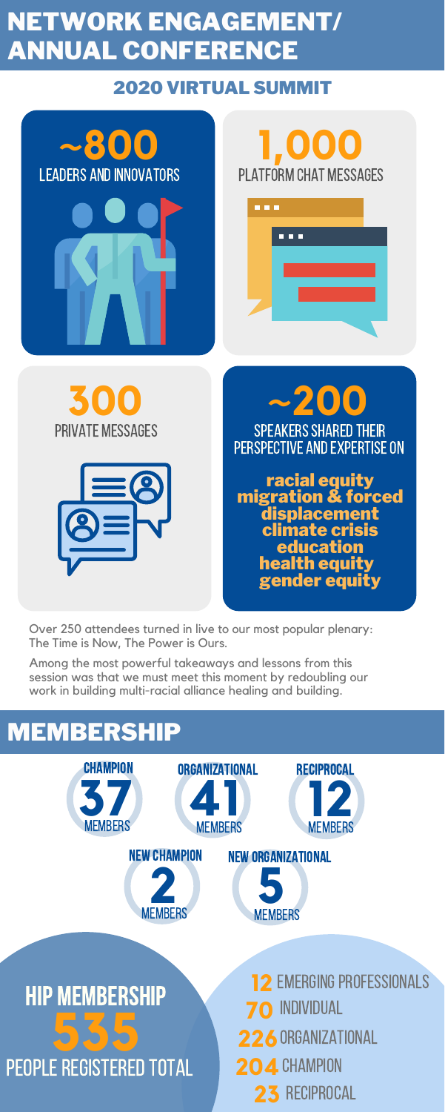Over 250 attendees turned in live to our most popular plenary: The Time is Now, The Power is Ours.

Among the most powerful takeaways and lessons from this

session was that we must meet this moment by redoubling our work in building multi-racial alliance healing and building.

SPEAKERS SHARED THEIR PERSPECTIVE AND EXPERTISE ON **~200**

### NETWORK ENGAGEMENT/ ANNUAL CONFERENCE



#### 2020 VIRTUAL SUMMIT



| . |        |
|---|--------|
|   | 88 B B |
|   |        |
|   |        |
|   |        |
|   |        |

## PEOPLE REGISTERED TOTAL **535** hip membership





**70** INDIVIDUAL 226 ORGANIZATIONAL **204 CHAMPION 12 EMERGING PROFESSIONALS 23** reciprocal

racial equity migration & forced displacement climate crisis **education** health equity gender equity

### MEMBERSHIP